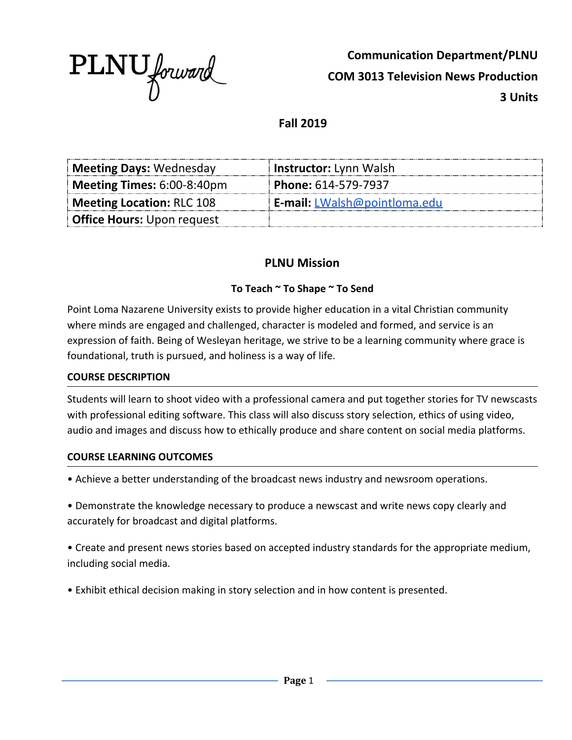

**Communication Department/PLNU COM 3013 Television News Production 3 Units**

**Fall 2019**

| <b>Meeting Days: Wednesday</b>              | <b>Instructor:</b> Lynn Walsh       |
|---------------------------------------------|-------------------------------------|
| <b>Meeting Times:</b> $6:00-8:40 \text{pm}$ | <b>Phone:</b> $614-579-7937$        |
| <b>Meeting Location: RLC 108</b>            | <b>E-mail:</b> LWalsh@pointloma.edu |
| <b>Office Hours:</b> Upon request           |                                     |

# **PLNU Mission**

#### **To Teach ~ To Shape ~ To Send**

Point Loma Nazarene University exists to provide higher education in a vital Christian community where minds are engaged and challenged, character is modeled and formed, and service is an expression of faith. Being of Wesleyan heritage, we strive to be a learning community where grace is foundational, truth is pursued, and holiness is a way of life.

#### **COURSE DESCRIPTION**

Students will learn to shoot video with a professional camera and put together stories for TV newscasts with professional editing software. This class will also discuss story selection, ethics of using video, audio and images and discuss how to ethically produce and share content on social media platforms.

#### **COURSE LEARNING OUTCOMES**

• Achieve a better understanding of the broadcast news industry and newsroom operations.

• Demonstrate the knowledge necessary to produce a newscast and write news copy clearly and accurately for broadcast and digital platforms.

• Create and present news stories based on accepted industry standards for the appropriate medium, including social media.

• Exhibit ethical decision making in story selection and in how content is presented.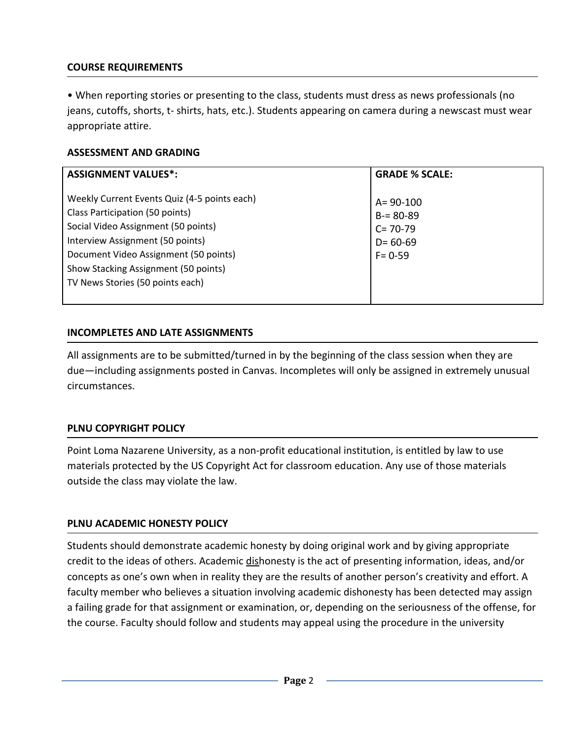# **COURSE REQUIREMENTS**

• When reporting stories or presenting to the class, students must dress as news professionals (no jeans, cutoffs, shorts, t- shirts, hats, etc.). Students appearing on camera during a newscast must wear appropriate attire.

### **ASSESSMENT AND GRADING**

| <b>ASSIGNMENT VALUES*:</b>                                                                                                                                                                                                                                                      | <b>GRADE % SCALE:</b>                                                         |  |
|---------------------------------------------------------------------------------------------------------------------------------------------------------------------------------------------------------------------------------------------------------------------------------|-------------------------------------------------------------------------------|--|
| Weekly Current Events Quiz (4-5 points each)<br>Class Participation (50 points)<br>Social Video Assignment (50 points)<br>Interview Assignment (50 points)<br>Document Video Assignment (50 points)<br>Show Stacking Assignment (50 points)<br>TV News Stories (50 points each) | $A = 90 - 100$<br>$B = 80 - 89$<br>$C = 70-79$<br>$D = 60 - 69$<br>$F = 0.59$ |  |

#### **INCOMPLETES AND LATE ASSIGNMENTS**

All assignments are to be submitted/turned in by the beginning of the class session when they are due—including assignments posted in Canvas. Incompletes will only be assigned in extremely unusual circumstances.

## **PLNU COPYRIGHT POLICY**

Point Loma Nazarene University, as a non-profit educational institution, is entitled by law to use materials protected by the US Copyright Act for classroom education. Any use of those materials outside the class may violate the law.

## **PLNU ACADEMIC HONESTY POLICY**

Students should demonstrate academic honesty by doing original work and by giving appropriate credit to the ideas of others. Academic dishonesty is the act of presenting information, ideas, and/or concepts as one's own when in reality they are the results of another person's creativity and effort. A faculty member who believes a situation involving academic dishonesty has been detected may assign a failing grade for that assignment or examination, or, depending on the seriousness of the offense, for the course. Faculty should follow and students may appeal using the procedure in the university